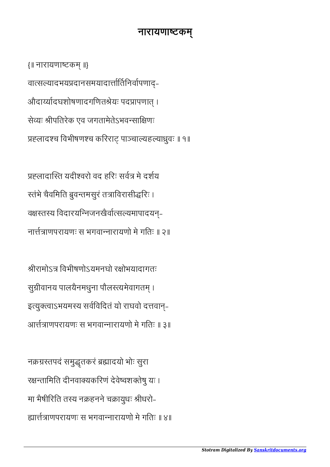## नारायणाष्टकम्

{॥ नारायणाटक ॥} वात्सल्यादभयप्रदानसमयादार्त्तार्तिनिर्वापणाद्-औदार्य्यादघशोषणादगणितश्रेयः पदप्रापणात् । सेयः ीपितरेक एव जगतामेतेऽभवसािणः प्रह्लादश्च विभीषणश्च करिराट् पाञ्चाल्यहल्याध्रुवः ॥ १॥

प्रह्लादास्ति यदीश्वरो वद हरिः सर्वत्र मे दर्शय रतंभे चैवमिति ब्रुवन्तमसुरं तत्राविरासीद्धरिः । वक्षस्तस्य विदारयन्निजनखैर्वात्सल्यमापादयन्-नााणपरायणः स भगवानारायणो मे गितः ॥ २॥

श्रीरामोऽत्र विभीषणोऽयमनघो रक्षोभयादागतः सुग्रीवानय पालयैनमधुना पौलस्त्यमेवागतम् । इत्युक्त्वाऽभयमस्य सर्वविदितं यो राघवो दत्तवान्-आाणपरायणः स भगवानारायणो मे गितः ॥ ३॥

नक्रग्रस्तपदं समुद्धतकरं ब्रह्मादयो भोः सुरा रतािमित दीनवायकिरणं देवेवशतेषु यः । मा भैषीरिति तस्य नक्रहनने चक्रायुधः श्रीधरो-ााणपरायणः स भगवानारायणो मे गितः ॥ ४॥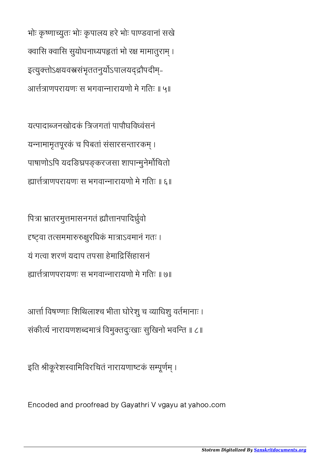भोः कृ णायुतः भोः कृ पालय हरे भोः पाडवानां सखे क्वासि क्वासि सुयोधनाध्यपहृतां भो रक्ष मामातूराम् । इत्युक्तोऽक्षयवस्त्रसंभृततनुर्योऽपालयदद्रौपदीम्-आाणपरायणः स भगवानारायणो मे गितः ॥ ५॥

यपादाजनखोदकं िजगतां पापौघिववंसनं यन्नामामृतपूरकं च पिबतां संसारसन्तारकम् । पाषाणोऽपि यदङिघ्रपङ्करजसा शापान्मुनेर्मोचितो ााणपरायणः स भगवानारायणो मे गितः ॥ ६॥

पित्रा भ्रातरमुत्तमासनगतं ह्यौत्तानपादिर्ध्रुवो दृष्ट्वा तत्सममारुरुक्षुरधिकं मात्राऽवमानं गतः । यं गवा शरणं यदाप तपसा हेमािसहासनं ााणपरायणः स भगवानारायणो मे गितः ॥ ७॥

आर्त्ता विषण्णाः शिथिलाश्च भीता घोरेशु च व्याधिशु वर्तमानाः । संकीर्त्य नारायणशब्दमात्रं विमुक्तदुःखाः सुखिनो भवन्ति ॥ ८॥

इति श्रीकूरेशस्वामिविरचितं नारायणाष्टकं सम्पूर्णम् ।

Encoded and proofread by Gayathri V vgayu at yahoo.com